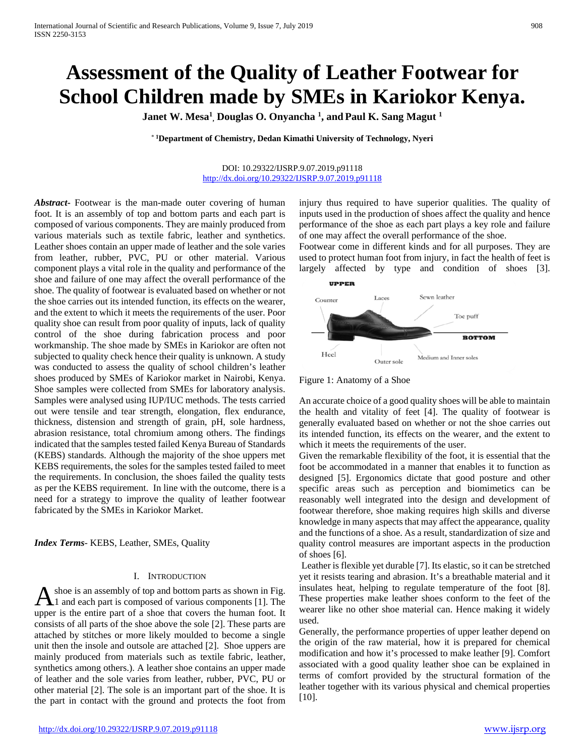# **Assessment of the Quality of Leather Footwear for School Children made by SMEs in Kariokor Kenya.**

**Janet W. Mesa1 , Douglas O. Onyancha 1 , and Paul K. Sang Magut 1**

\* **1Department of Chemistry, Dedan Kimathi University of Technology, Nyeri**

#### DOI: 10.29322/IJSRP.9.07.2019.p91118 <http://dx.doi.org/10.29322/IJSRP.9.07.2019.p91118>

*Abstract***-** Footwear is the man-made outer covering of human foot. It is an assembly of top and bottom parts and each part is composed of various components. They are mainly produced from various materials such as textile fabric, leather and synthetics. Leather shoes contain an upper made of leather and the sole varies from leather, rubber, PVC, PU or other material. Various component plays a vital role in the quality and performance of the shoe and failure of one may affect the overall performance of the shoe. The quality of footwear is evaluated based on whether or not the shoe carries out its intended function, its effects on the wearer, and the extent to which it meets the requirements of the user. Poor quality shoe can result from poor quality of inputs, lack of quality control of the shoe during fabrication process and poor workmanship. The shoe made by SMEs in Kariokor are often not subjected to quality check hence their quality is unknown. A study was conducted to assess the quality of school children's leather shoes produced by SMEs of Kariokor market in Nairobi, Kenya. Shoe samples were collected from SMEs for laboratory analysis. Samples were analysed using IUP/IUC methods. The tests carried out were tensile and tear strength, elongation, flex endurance, thickness, distension and strength of grain, pH, sole hardness, abrasion resistance, total chromium among others. The findings indicated that the samples tested failed Kenya Bureau of Standards (KEBS) standards. Although the majority of the shoe uppers met KEBS requirements, the soles for the samples tested failed to meet the requirements. In conclusion, the shoes failed the quality tests as per the KEBS requirement. In line with the outcome, there is a need for a strategy to improve the quality of leather footwear fabricated by the SMEs in Kariokor Market.

*Index Terms*- KEBS, Leather, SMEs, Quality

## I. INTRODUCTION

shoe is an assembly of top and bottom parts as shown in Fig. A shoe is an assembly of top and bottom parts as shown in Fig.  $\Lambda$ 1 and each part is composed of various components [1]. The upper is the entire part of a shoe that covers the human foot. It consists of all parts of the shoe above the sole [2]. These parts are attached by stitches or more likely moulded to become a single unit then the insole and outsole are attached [2]. Shoe uppers are mainly produced from materials such as textile fabric, leather, synthetics among others.). A leather shoe contains an upper made of leather and the sole varies from leather, rubber, PVC, PU or other material [2]. The sole is an important part of the shoe. It is the part in contact with the ground and protects the foot from

injury thus required to have superior qualities. The quality of inputs used in the production of shoes affect the quality and hence performance of the shoe as each part plays a key role and failure of one may affect the overall performance of the shoe.

Footwear come in different kinds and for all purposes. They are used to protect human foot from injury, in fact the health of feet is largely affected by type and condition of shoes [3].



Figure 1: Anatomy of a Shoe

An accurate choice of a good quality shoes will be able to maintain the health and vitality of feet [4]. The quality of footwear is generally evaluated based on whether or not the shoe carries out its intended function, its effects on the wearer, and the extent to which it meets the requirements of the user.

Given the remarkable flexibility of the foot, it is essential that the foot be accommodated in a manner that enables it to function as designed [5]. Ergonomics dictate that good posture and other specific areas such as perception and biomimetics can be reasonably well integrated into the design and development of footwear therefore, shoe making requires high skills and diverse knowledge in many aspects that may affect the appearance, quality and the functions of a shoe. As a result, standardization of size and quality control measures are important aspects in the production of shoes [6].

Leather is flexible yet durable [7]. Its elastic, so it can be stretched yet it resists tearing and abrasion. It's a breathable material and it insulates heat, helping to regulate temperature of the foot [8]. These properties make leather shoes conform to the feet of the wearer like no other shoe material can. Hence making it widely used.

Generally, the performance properties of upper leather depend on the origin of the raw material, how it is prepared for chemical modification and how it's processed to make leather [9]. Comfort associated with a good quality leather shoe can be explained in terms of comfort provided by the structural formation of the leather together with its various physical and chemical properties [10].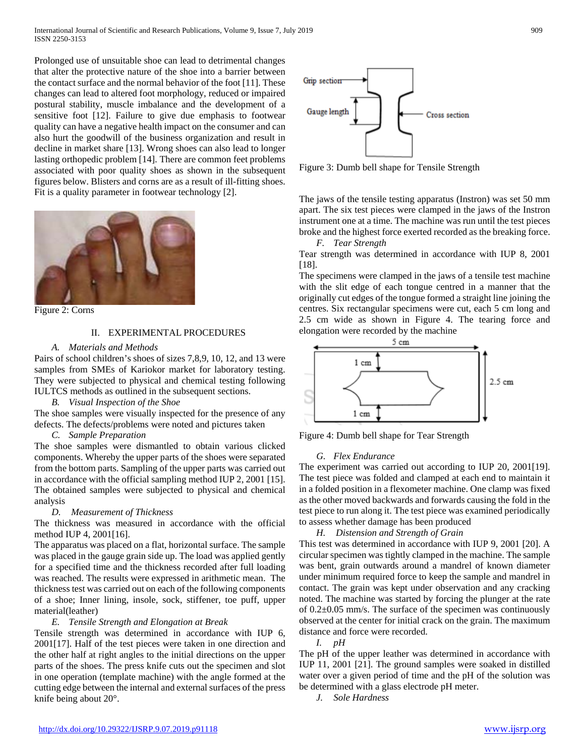Prolonged use of unsuitable shoe can lead to detrimental changes that alter the protective nature of the shoe into a barrier between the contact surface and the normal behavior of the foot [11]. These changes can lead to altered foot morphology, reduced or impaired postural stability, muscle imbalance and the development of a sensitive foot [12]. Failure to give due emphasis to footwear quality can have a negative health impact on the consumer and can also hurt the goodwill of the business organization and result in decline in market share [13]. Wrong shoes can also lead to longer lasting orthopedic problem [14]. There are common feet problems associated with poor quality shoes as shown in the subsequent figures below. Blisters and corns are as a result of ill-fitting shoes. Fit is a quality parameter in footwear technology [2].



Figure 2: Corns

## II. EXPERIMENTAL PROCEDURES

## *A. Materials and Methods*

Pairs of school children's shoes of sizes 7,8,9, 10, 12, and 13 were samples from SMEs of Kariokor market for laboratory testing. They were subjected to physical and chemical testing following IULTCS methods as outlined in the subsequent sections.

*B. Visual Inspection of the Shoe* 

The shoe samples were visually inspected for the presence of any defects. The defects/problems were noted and pictures taken

# *C. Sample Preparation*

The shoe samples were dismantled to obtain various clicked components. Whereby the upper parts of the shoes were separated from the bottom parts. Sampling of the upper parts was carried out in accordance with the official sampling method IUP 2, 2001 [15]. The obtained samples were subjected to physical and chemical analysis

# *D. Measurement of Thickness*

The thickness was measured in accordance with the official method IUP 4, 2001[16].

The apparatus was placed on a flat, horizontal surface. The sample was placed in the gauge grain side up. The load was applied gently for a specified time and the thickness recorded after full loading was reached. The results were expressed in arithmetic mean. The thickness test was carried out on each of the following components of a shoe; Inner lining, insole, sock, stiffener, toe puff, upper material(leather)

# *E. Tensile Strength and Elongation at Break*

Tensile strength was determined in accordance with IUP 6, 2001[17]. Half of the test pieces were taken in one direction and the other half at right angles to the initial directions on the upper parts of the shoes. The press knife cuts out the specimen and slot in one operation (template machine) with the angle formed at the cutting edge between the internal and external surfaces of the press knife being about 20°.



Figure 3: Dumb bell shape for Tensile Strength

The jaws of the tensile testing apparatus (Instron) was set 50 mm apart. The six test pieces were clamped in the jaws of the Instron instrument one at a time. The machine was run until the test pieces broke and the highest force exerted recorded as the breaking force.

*F. Tear Strength* 

Tear strength was determined in accordance with IUP 8, 2001 [18].

The specimens were clamped in the jaws of a tensile test machine with the slit edge of each tongue centred in a manner that the originally cut edges of the tongue formed a straight line joining the centres. Six rectangular specimens were cut, each 5 cm long and 2.5 cm wide as shown in Figure 4. The tearing force and elongation were recorded by the machine



Figure 4: Dumb bell shape for Tear Strength

## *G. Flex Endurance*

The experiment was carried out according to IUP 20, 2001[19]. The test piece was folded and clamped at each end to maintain it in a folded position in a flexometer machine. One clamp was fixed as the other moved backwards and forwards causing the fold in the test piece to run along it. The test piece was examined periodically to assess whether damage has been produced

*H. Distension and Strength of Grain* 

This test was determined in accordance with IUP 9, 2001 [20]. A circular specimen was tightly clamped in the machine. The sample was bent, grain outwards around a mandrel of known diameter under minimum required force to keep the sample and mandrel in contact. The grain was kept under observation and any cracking noted. The machine was started by forcing the plunger at the rate of 0.2±0.05 mm/s. The surface of the specimen was continuously observed at the center for initial crack on the grain. The maximum distance and force were recorded.

*I. pH* 

The pH of the upper leather was determined in accordance with IUP 11, 2001 [21]. The ground samples were soaked in distilled water over a given period of time and the pH of the solution was be determined with a glass electrode pH meter.

*J. Sole Hardness*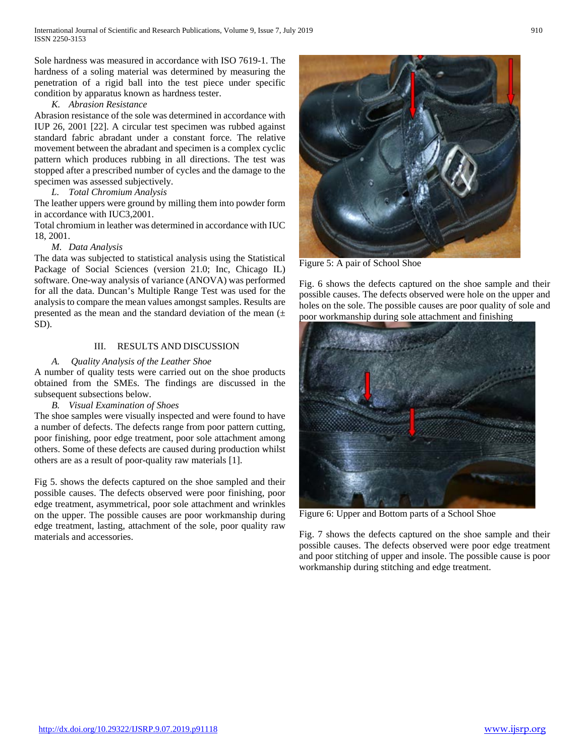Sole hardness was measured in accordance with ISO 7619-1. The hardness of a soling material was determined by measuring the penetration of a rigid ball into the test piece under specific condition by apparatus known as hardness tester.

## *K. Abrasion Resistance*

Abrasion resistance of the sole was determined in accordance with IUP 26, 2001 [22]. A circular test specimen was rubbed against standard fabric abradant under a constant force. The relative movement between the abradant and specimen is a complex cyclic pattern which produces rubbing in all directions. The test was stopped after a prescribed number of cycles and the damage to the specimen was assessed subjectively.

## *L. Total Chromium Analysis*

The leather uppers were ground by milling them into powder form in accordance with IUC3,2001.

Total chromium in leather was determined in accordance with IUC 18, 2001.

## *M. Data Analysis*

The data was subjected to statistical analysis using the Statistical Package of Social Sciences (version 21.0; Inc, Chicago IL) software. One-way analysis of variance (ANOVA) was performed for all the data. Duncan's Multiple Range Test was used for the analysis to compare the mean values amongst samples. Results are presented as the mean and the standard deviation of the mean  $(±)$ SD).

# III. RESULTS AND DISCUSSION

## *A. Quality Analysis of the Leather Shoe*

A number of quality tests were carried out on the shoe products obtained from the SMEs. The findings are discussed in the subsequent subsections below.

## *B. Visual Examination of Shoes*

The shoe samples were visually inspected and were found to have a number of defects. The defects range from poor pattern cutting, poor finishing, poor edge treatment, poor sole attachment among others. Some of these defects are caused during production whilst others are as a result of poor-quality raw materials [1].

Fig 5. shows the defects captured on the shoe sampled and their possible causes. The defects observed were poor finishing, poor edge treatment, asymmetrical, poor sole attachment and wrinkles on the upper. The possible causes are poor workmanship during edge treatment, lasting, attachment of the sole, poor quality raw materials and accessories.



Figure 5: A pair of School Shoe

Fig. 6 shows the defects captured on the shoe sample and their possible causes. The defects observed were hole on the upper and holes on the sole. The possible causes are poor quality of sole and poor workmanship during sole attachment and finishing



Figure 6: Upper and Bottom parts of a School Shoe

Fig. 7 shows the defects captured on the shoe sample and their possible causes. The defects observed were poor edge treatment and poor stitching of upper and insole. The possible cause is poor workmanship during stitching and edge treatment.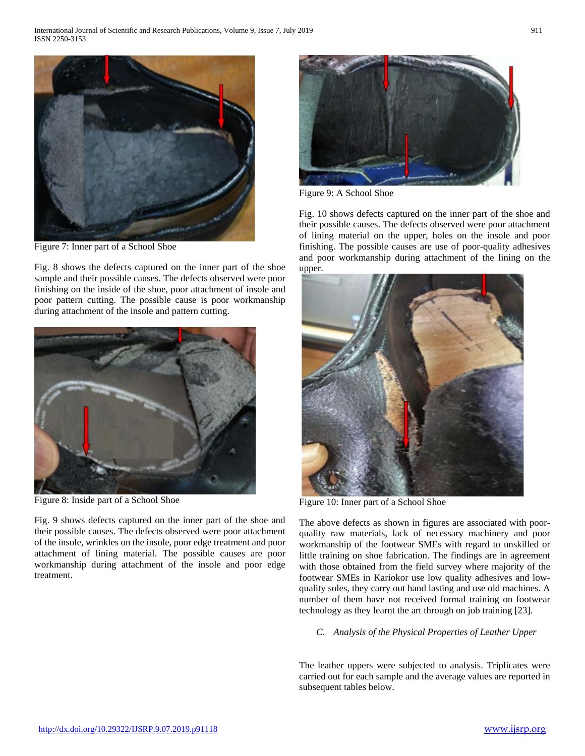

Figure 7: Inner part of a School Shoe

Fig. 8 shows the defects captured on the inner part of the shoe sample and their possible causes. The defects observed were poor finishing on the inside of the shoe, poor attachment of insole and poor pattern cutting. The possible cause is poor workmanship during attachment of the insole and pattern cutting.



Figure 8: Inside part of a School Shoe

Fig. 9 shows defects captured on the inner part of the shoe and their possible causes. The defects observed were poor attachment of the insole, wrinkles on the insole, poor edge treatment and poor attachment of lining material. The possible causes are poor workmanship during attachment of the insole and poor edge treatment.



Figure 9: A School Shoe

Fig. 10 shows defects captured on the inner part of the shoe and their possible causes. The defects observed were poor attachment of lining material on the upper, holes on the insole and poor finishing. The possible causes are use of poor-quality adhesives and poor workmanship during attachment of the lining on the upper.



Figure 10: Inner part of a School Shoe

The above defects as shown in figures are associated with poorquality raw materials, lack of necessary machinery and poor workmanship of the footwear SMEs with regard to unskilled or little training on shoe fabrication. The findings are in agreement with those obtained from the field survey where majority of the footwear SMEs in Kariokor use low quality adhesives and lowquality soles, they carry out hand lasting and use old machines. A number of them have not received formal training on footwear technology as they learnt the art through on job training [23].

## *C. Analysis of the Physical Properties of Leather Upper*

The leather uppers were subjected to analysis. Triplicates were carried out for each sample and the average values are reported in subsequent tables below.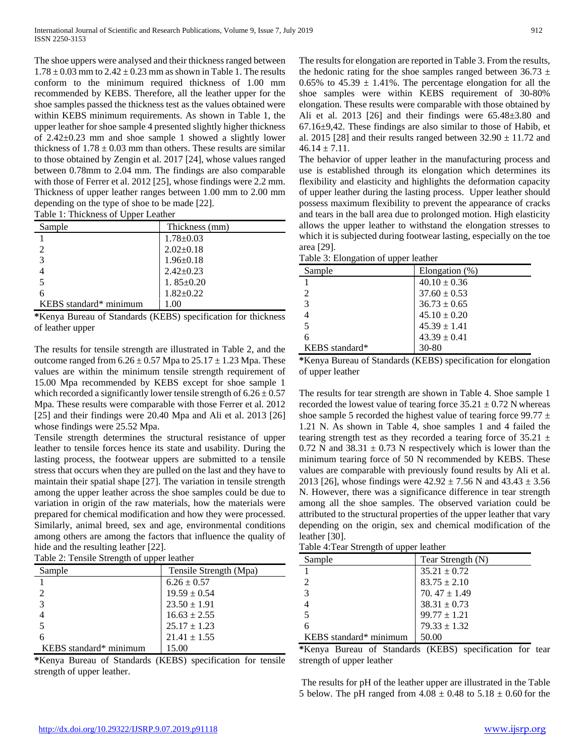The shoe uppers were analysed and their thickness ranged between  $1.78 \pm 0.03$  mm to  $2.42 \pm 0.23$  mm as shown in Table 1. The results conform to the minimum required thickness of 1.00 mm recommended by KEBS. Therefore, all the leather upper for the shoe samples passed the thickness test as the values obtained were within KEBS minimum requirements. As shown in Table 1, the upper leather for shoe sample 4 presented slightly higher thickness of 2.42±0.23 mm and shoe sample 1 showed a slightly lower thickness of  $1.78 \pm 0.03$  mm than others. These results are similar to those obtained by Zengin et al. 2017 [24], whose values ranged between 0.78mm to 2.04 mm. The findings are also comparable with those of Ferrer et al. 2012 [25], whose findings were 2.2 mm. Thickness of upper leather ranges between 1.00 mm to 2.00 mm depending on the type of shoe to be made [22].

| . .                    |                 |
|------------------------|-----------------|
| Sample                 | Thickness (mm)  |
|                        | $1.78 \pm 0.03$ |
|                        | $2.02 \pm 0.18$ |
| 3                      | $1.96 \pm 0.18$ |
|                        | $2.42+0.23$     |
|                        | 1.85 $\pm$ 0.20 |
| 6                      | $1.82+0.22$     |
| KEBS standard* minimum |                 |

**\***Kenya Bureau of Standards (KEBS) specification for thickness of leather upper

The results for tensile strength are illustrated in Table 2, and the outcome ranged from  $6.26 \pm 0.57$  Mpa to  $25.17 \pm 1.23$  Mpa. These values are within the minimum tensile strength requirement of 15.00 Mpa recommended by KEBS except for shoe sample 1 which recorded a significantly lower tensile strength of  $6.26 \pm 0.57$ Mpa. These results were comparable with those Ferrer et al. 2012 [25] and their findings were 20.40 Mpa and Ali et al. 2013 [26] whose findings were 25.52 Mpa.

Tensile strength determines the structural resistance of upper leather to tensile forces hence its state and usability. During the lasting process, the footwear uppers are submitted to a tensile stress that occurs when they are pulled on the last and they have to maintain their spatial shape [27]. The variation in tensile strength among the upper leather across the shoe samples could be due to variation in origin of the raw materials, how the materials were prepared for chemical modification and how they were processed. Similarly, animal breed, sex and age, environmental conditions among others are among the factors that influence the quality of hide and the resulting leather [22].

| Table 2: Tensile Strength of upper leather |                                           |  |
|--------------------------------------------|-------------------------------------------|--|
| Sample                                     | Tensile Strength (Mpa)                    |  |
|                                            | $\sim$ $\sim$ $\sim$ $\sim$ $\sim$ $\sim$ |  |

| Sampie                 | Tensile Strength (Mpa) |
|------------------------|------------------------|
|                        | $6.26 \pm 0.57$        |
|                        | $19.59 \pm 0.54$       |
|                        | $23.50 \pm 1.91$       |
|                        | $16.63 \pm 2.55$       |
|                        | $25.17 \pm 1.23$       |
| 6                      | $21.41 \pm 1.55$       |
| KEBS standard* minimum | 15.00                  |
|                        |                        |

**\***Kenya Bureau of Standards (KEBS) specification for tensile strength of upper leather.

The results for elongation are reported in Table 3. From the results, the hedonic rating for the shoe samples ranged between  $36.73 \pm$ 0.65% to 45.39  $\pm$  1.41%. The percentage elongation for all the shoe samples were within KEBS requirement of 30-80% elongation. These results were comparable with those obtained by Ali et al. 2013 [26] and their findings were  $65.48\pm3.80$  and 67.16±9,42. These findings are also similar to those of Habib, et al. 2015 [28] and their results ranged between  $32.90 \pm 11.72$  and  $46.14 \pm 7.11$ .

The behavior of upper leather in the manufacturing process and use is established through its elongation which determines its flexibility and elasticity and highlights the deformation capacity of upper leather during the lasting process. Upper leather should possess maximum flexibility to prevent the appearance of cracks and tears in the ball area due to prolonged motion. High elasticity allows the upper leather to withstand the elongation stresses to which it is subjected during footwear lasting, especially on the toe area [29].

| Table 3: Elongation of upper leather |  |  |  |  |
|--------------------------------------|--|--|--|--|
|--------------------------------------|--|--|--|--|

| raore si Elonganon or appel feather |                   |  |
|-------------------------------------|-------------------|--|
| Sample                              | Elongation $(\%)$ |  |
|                                     | $40.10 \pm 0.36$  |  |
|                                     | $37.60 \pm 0.53$  |  |
| $\mathcal{F}$                       | $36.73 \pm 0.65$  |  |
|                                     | $45.10 \pm 0.20$  |  |
|                                     | $45.39 \pm 1.41$  |  |
| 6                                   | $43.39 \pm 0.41$  |  |
| KEBS standard*                      | 30-80             |  |

**<sup>\*</sup>**Kenya Bureau of Standards (KEBS) specification for elongation of upper leather

The results for tear strength are shown in Table 4. Shoe sample 1 recorded the lowest value of tearing force  $35.21 \pm 0.72$  N whereas shoe sample 5 recorded the highest value of tearing force 99.77  $\pm$ 1.21 N. As shown in Table 4, shoe samples 1 and 4 failed the tearing strength test as they recorded a tearing force of  $35.21 \pm$ 0.72 N and  $38.31 \pm 0.73$  N respectively which is lower than the minimum tearing force of 50 N recommended by KEBS. These values are comparable with previously found results by Ali et al. 2013 [26], whose findings were  $42.92 \pm 7.56$  N and  $43.43 \pm 3.56$ N. However, there was a significance difference in tear strength among all the shoe samples. The observed variation could be attributed to the structural properties of the upper leather that vary depending on the origin, sex and chemical modification of the leather [30].

Table 4:Tear Strength of upper leather

| 7 F F                  |                   |
|------------------------|-------------------|
| Sample                 | Tear Strength (N) |
|                        | $35.21 \pm 0.72$  |
|                        | $83.75 \pm 2.10$  |
|                        | 70.47 $\pm$ 1.49  |
|                        | $38.31 \pm 0.73$  |
|                        | $99.77 \pm 1.21$  |
| 6                      | $79.33 \pm 1.32$  |
| KEBS standard* minimum | 50.00             |

**\***Kenya Bureau of Standards (KEBS) specification for tear strength of upper leather

The results for pH of the leather upper are illustrated in the Table 5 below. The pH ranged from  $4.08 \pm 0.48$  to  $5.18 \pm 0.60$  for the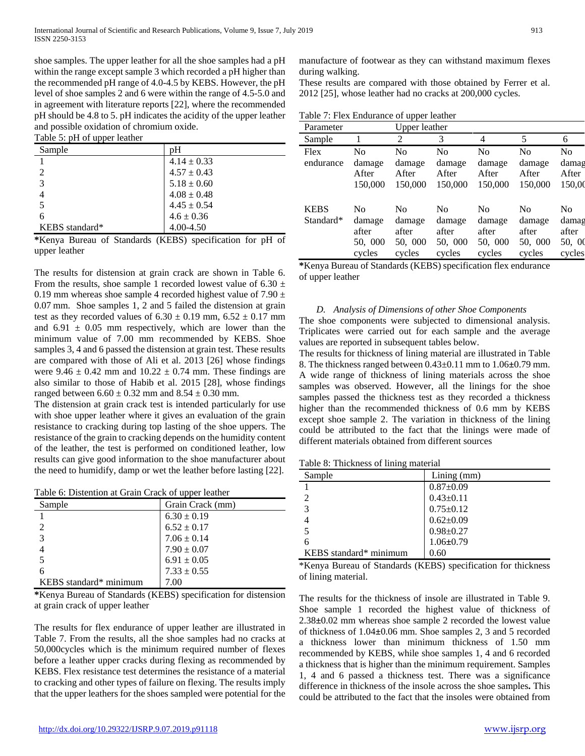shoe samples. The upper leather for all the shoe samples had a pH within the range except sample 3 which recorded a pH higher than the recommended pH range of 4.0-4.5 by KEBS. However, the pH level of shoe samples 2 and 6 were within the range of 4.5-5.0 and in agreement with literature reports [22], where the recommended pH should be 4.8 to 5. pH indicates the acidity of the upper leather and possible oxidation of chromium oxide. Table 5: pH of upper leather

| raore si pri or apper realitei |                 |
|--------------------------------|-----------------|
| Sample                         | pН              |
|                                | $4.14 \pm 0.33$ |
| $\mathcal{D}$                  | $4.57 \pm 0.43$ |
| $\mathcal{E}$                  | $5.18 \pm 0.60$ |
|                                | $4.08 \pm 0.48$ |
|                                | $4.45 \pm 0.54$ |
| 6                              | $4.6 \pm 0.36$  |
| KEBS standard*                 | 4.00-4.50       |

**\***Kenya Bureau of Standards (KEBS) specification for pH of upper leather

The results for distension at grain crack are shown in Table 6. From the results, shoe sample 1 recorded lowest value of 6.30  $\pm$ 0.19 mm whereas shoe sample 4 recorded highest value of 7.90  $\pm$ 0.07 mm. Shoe samples 1, 2 and 5 failed the distension at grain test as they recorded values of  $6.30 \pm 0.19$  mm,  $6.52 \pm 0.17$  mm and  $6.91 \pm 0.05$  mm respectively, which are lower than the minimum value of 7.00 mm recommended by KEBS. Shoe samples 3, 4 and 6 passed the distension at grain test. These results are compared with those of Ali et al. 2013 [26] whose findings were  $9.46 \pm 0.42$  mm and  $10.22 \pm 0.74$  mm. These findings are also similar to those of Habib et al. 2015 [28], whose findings ranged between  $6.60 \pm 0.32$  mm and  $8.54 \pm 0.30$  mm.

The distension at grain crack test is intended particularly for use with shoe upper leather where it gives an evaluation of the grain resistance to cracking during top lasting of the shoe uppers. The resistance of the grain to cracking depends on the humidity content of the leather, the test is performed on conditioned leather, low results can give good information to the shoe manufacturer about the need to humidify, damp or wet the leather before lasting [22].

| Sample                      | Grain Crack (mm) |
|-----------------------------|------------------|
|                             | $6.30 \pm 0.19$  |
| $\mathcal{D}_{\mathcal{L}}$ | $6.52 \pm 0.17$  |
| 3                           | $7.06 \pm 0.14$  |
|                             | $7.90 \pm 0.07$  |
|                             | $6.91 \pm 0.05$  |
| 6                           | $7.33 \pm 0.55$  |
| KEBS standard* minimum      | 7.00             |

**\***Kenya Bureau of Standards (KEBS) specification for distension at grain crack of upper leather

The results for flex endurance of upper leather are illustrated in Table 7. From the results, all the shoe samples had no cracks at 50,000cycles which is the minimum required number of flexes before a leather upper cracks during flexing as recommended by KEBS. Flex resistance test determines the resistance of a material to cracking and other types of failure on flexing. The results imply that the upper leathers for the shoes sampled were potential for the

manufacture of footwear as they can withstand maximum flexes during walking.

These results are compared with those obtained by Ferrer et al. 2012 [25], whose leather had no cracks at 200,000 cycles.

Table 7: Flex Endurance of upper leather

| Parameter                |                                                        | <b>Upper leather</b>                                   |                                                        |                                                        |                                                        |                                                      |
|--------------------------|--------------------------------------------------------|--------------------------------------------------------|--------------------------------------------------------|--------------------------------------------------------|--------------------------------------------------------|------------------------------------------------------|
| Sample                   |                                                        | 2                                                      | 3                                                      | 4                                                      | 5                                                      | 6                                                    |
| Flex<br>endurance        | N <sub>0</sub><br>damage<br>After<br>150,000           | N <sub>0</sub><br>damage<br>After<br>150,000           | N <sub>0</sub><br>damage<br>After<br>150,000           | N <sub>0</sub><br>damage<br>After<br>150,000           | N <sub>0</sub><br>damage<br>After<br>150,000           | N <sub>0</sub><br>damag<br>After<br>150,00           |
| <b>KEBS</b><br>Standard* | N <sub>0</sub><br>damage<br>after<br>50, 000<br>cycles | N <sub>0</sub><br>damage<br>after<br>50, 000<br>cycles | N <sub>0</sub><br>damage<br>after<br>50, 000<br>cycles | N <sub>0</sub><br>damage<br>after<br>50, 000<br>cycles | N <sub>0</sub><br>damage<br>after<br>50, 000<br>cycles | N <sub>0</sub><br>damag<br>after<br>50, 00<br>cycles |

**\***Kenya Bureau of Standards (KEBS) specification flex endurance of upper leather

## *D. Analysis of Dimensions of other Shoe Components*

The shoe components were subjected to dimensional analysis. Triplicates were carried out for each sample and the average values are reported in subsequent tables below.

The results for thickness of lining material are illustrated in Table 8. The thickness ranged between 0.43±0.11 mm to 1.06**±**0.79 mm. A wide range of thickness of lining materials across the shoe samples was observed. However, all the linings for the shoe samples passed the thickness test as they recorded a thickness higher than the recommended thickness of 0.6 mm by KEBS except shoe sample 2. The variation in thickness of the lining could be attributed to the fact that the linings were made of different materials obtained from different sources

Table 8: Thickness of lining material

| Sample                 | $Lining$ (mm)   |
|------------------------|-----------------|
|                        | $0.87 \pm 0.09$ |
|                        | $0.43 \pm 0.11$ |
| 3                      | $0.75 \pm 0.12$ |
|                        | $0.62 \pm 0.09$ |
|                        | $0.98 \pm 0.27$ |
|                        | $1.06 \pm 0.79$ |
| KEBS standard* minimum | 0.60            |

\*Kenya Bureau of Standards (KEBS) specification for thickness of lining material.

The results for the thickness of insole are illustrated in Table 9. Shoe sample 1 recorded the highest value of thickness of 2.38**±**0.02 mm whereas shoe sample 2 recorded the lowest value of thickness of 1.04**±**0.06 mm. Shoe samples 2, 3 and 5 recorded a thickness lower than minimum thickness of 1.50 mm recommended by KEBS, while shoe samples 1, 4 and 6 recorded a thickness that is higher than the minimum requirement. Samples 1, 4 and 6 passed a thickness test. There was a significance difference in thickness of the insole across the shoe samples**.** This could be attributed to the fact that the insoles were obtained from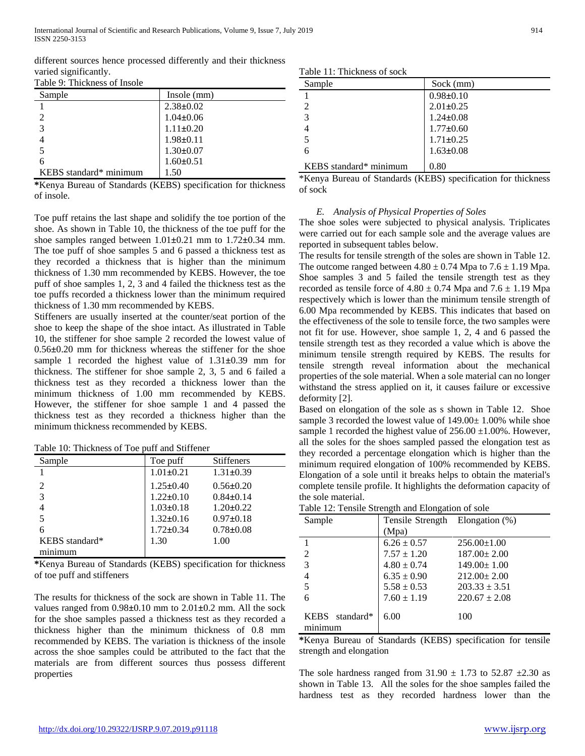International Journal of Scientific and Research Publications, Volume 9, Issue 7, July 2019 914 ISSN 2250-3153

different sources hence processed differently and their thickness varied significantly.

|  | Table 9: Thickness of Insole |  |
|--|------------------------------|--|
|--|------------------------------|--|

| Sample                 | Insole (mm)     |
|------------------------|-----------------|
|                        | $2.38 \pm 0.02$ |
|                        | $1.04 \pm 0.06$ |
| $\mathbf{z}$           | $1.11 \pm 0.20$ |
|                        | $1.98 \pm 0.11$ |
|                        | $1.30 \pm 0.07$ |
| 6                      | $1.60 \pm 0.51$ |
| KEBS standard* minimum | 1.50            |

**\***Kenya Bureau of Standards (KEBS) specification for thickness of insole.

Toe puff retains the last shape and solidify the toe portion of the shoe. As shown in Table 10, the thickness of the toe puff for the shoe samples ranged between 1.01**±**0.21 mm to 1.72**±**0.34 mm. The toe puff of shoe samples 5 and 6 passed a thickness test as they recorded a thickness that is higher than the minimum thickness of 1.30 mm recommended by KEBS. However, the toe puff of shoe samples 1, 2, 3 and 4 failed the thickness test as the toe puffs recorded a thickness lower than the minimum required thickness of 1.30 mm recommended by KEBS.

Stiffeners are usually inserted at the counter/seat portion of the shoe to keep the shape of the shoe intact. As illustrated in Table 10, the stiffener for shoe sample 2 recorded the lowest value of 0.56**±**0.20 mm for thickness whereas the stiffener for the shoe sample 1 recorded the highest value of 1.31**±**0.39 mm for thickness. The stiffener for shoe sample 2, 3, 5 and 6 failed a thickness test as they recorded a thickness lower than the minimum thickness of 1.00 mm recommended by KEBS. However, the stiffener for shoe sample 1 and 4 passed the thickness test as they recorded a thickness higher than the minimum thickness recommended by KEBS.

| Table 10: Thickness of Toe puff and Stiffener |  |  |  |  |
|-----------------------------------------------|--|--|--|--|
|-----------------------------------------------|--|--|--|--|

| Sample         | Toe puff        | Stiffeners      |
|----------------|-----------------|-----------------|
|                | $1.01 \pm 0.21$ | $1.31 \pm 0.39$ |
| $\overline{c}$ | $1.25 \pm 0.40$ | $0.56 \pm 0.20$ |
| 3              | $1.22 \pm 0.10$ | $0.84 \pm 0.14$ |
| 4              | $1.03 \pm 0.18$ | $1.20 \pm 0.22$ |
| 5              | $1.32 \pm 0.16$ | $0.97 \pm 0.18$ |
| 6              | $1.72 \pm 0.34$ | $0.78 \pm 0.08$ |
| KEBS standard* | 1.30            | 1.00            |
| minimum        |                 |                 |

**\***Kenya Bureau of Standards (KEBS) specification for thickness of toe puff and stiffeners

The results for thickness of the sock are shown in Table 11. The values ranged from 0.98**±**0.10 mm to 2.01**±**0.2 mm. All the sock for the shoe samples passed a thickness test as they recorded a thickness higher than the minimum thickness of 0.8 mm recommended by KEBS. The variation is thickness of the insole across the shoe samples could be attributed to the fact that the materials are from different sources thus possess different properties

|  |  | Table 11: Thickness of sock |  |  |
|--|--|-----------------------------|--|--|
|--|--|-----------------------------|--|--|

| Sample                 | Sock (mm)       |
|------------------------|-----------------|
|                        | $0.98 \pm 0.10$ |
| $\mathfrak{D}$         | $2.01 \pm 0.25$ |
| $\mathcal{E}$          | $1.24 \pm 0.08$ |
|                        | $1.77 \pm 0.60$ |
|                        | $1.71 \pm 0.25$ |
| 6                      | $1.63 \pm 0.08$ |
| KEBS standard* minimum | 0.80            |

\*Kenya Bureau of Standards (KEBS) specification for thickness of sock

#### *E. Analysis of Physical Properties of Soles*

The shoe soles were subjected to physical analysis. Triplicates were carried out for each sample sole and the average values are reported in subsequent tables below.

The results for tensile strength of the soles are shown in Table 12. The outcome ranged between  $4.80 \pm 0.74$  Mpa to  $7.6 \pm 1.19$  Mpa. Shoe samples 3 and 5 failed the tensile strength test as they recorded as tensile force of  $4.80 \pm 0.74$  Mpa and  $7.6 \pm 1.19$  Mpa respectively which is lower than the minimum tensile strength of 6.00 Mpa recommended by KEBS. This indicates that based on the effectiveness of the sole to tensile force, the two samples were not fit for use. However, shoe sample 1, 2, 4 and 6 passed the tensile strength test as they recorded a value which is above the minimum tensile strength required by KEBS. The results for tensile strength reveal information about the mechanical properties of the sole material. When a sole material can no longer withstand the stress applied on it, it causes failure or excessive deformity [2].

Based on elongation of the sole as s shown in Table 12. Shoe sample 3 recorded the lowest value of  $149.00 \pm 1.00\%$  while shoe sample 1 recorded the highest value of  $256.00 \pm 1.00\%$ . However, all the soles for the shoes sampled passed the elongation test as they recorded a percentage elongation which is higher than the minimum required elongation of 100% recommended by KEBS. Elongation of a sole until it breaks helps to obtain the material's complete tensile profile. It highlights the deformation capacity of the sole material.

|  |  | Table 12: Tensile Strength and Elongation of sole |  |
|--|--|---------------------------------------------------|--|
|  |  |                                                   |  |

| Sample                                              | Tensile Strength Elongation (%) |                   |
|-----------------------------------------------------|---------------------------------|-------------------|
|                                                     | (Mpa)                           |                   |
|                                                     | $6.26 \pm 0.57$                 | $256.00 \pm 1.00$ |
| $\overline{2}$                                      | $7.57 \pm 1.20$                 | $187.00 \pm 2.00$ |
| 3                                                   | $4.80 \pm 0.74$                 | $149.00 \pm 1.00$ |
| 4                                                   | $6.35 \pm 0.90$                 | $212.00 \pm 2.00$ |
| 5                                                   | $5.58 \pm 0.53$                 | $203.33 \pm 3.51$ |
| 6                                                   | $7.60 \pm 1.19$                 | $220.67 \pm 2.08$ |
| standard*<br><b>KEBS</b><br>$m$ $n$ $n$ $n$ $n$ $n$ | 6.00                            | 100               |

**\***Kenya Bureau of Standards (KEBS) specification for tensile strength and elongation

The sole hardness ranged from  $31.90 \pm 1.73$  to  $52.87 \pm 2.30$  as shown in Table 13. All the soles for the shoe samples failed the hardness test as they recorded hardness lower than the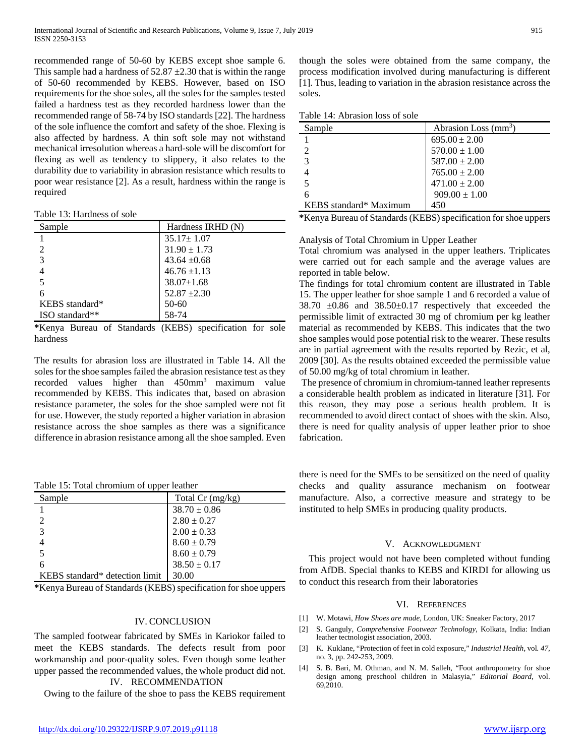recommended range of 50-60 by KEBS except shoe sample 6. This sample had a hardness of  $52.87 \pm 2.30$  that is within the range of 50-60 recommended by KEBS. However, based on ISO requirements for the shoe soles, all the soles for the samples tested failed a hardness test as they recorded hardness lower than the recommended range of 58-74 by ISO standards [22]. The hardness of the sole influence the comfort and safety of the shoe. Flexing is also affected by hardness. A thin soft sole may not withstand mechanical irresolution whereas a hard-sole will be discomfort for flexing as well as tendency to slippery, it also relates to the durability due to variability in abrasion resistance which results to poor wear resistance [2]. As a result, hardness within the range is required

Table 13: Hardness of sole

| Sample         | Hardness IRHD (N) |
|----------------|-------------------|
|                | $35.17 \pm 1.07$  |
| $\mathcal{D}$  | $31.90 \pm 1.73$  |
| 3              | $43.64 \pm 0.68$  |
| 4              | $46.76 \pm 1.13$  |
| 5              | $38.07 \pm 1.68$  |
| б              | $52.87 \pm 2.30$  |
| KEBS standard* | 50-60             |
| ISO standard** | 58-74             |

**\***Kenya Bureau of Standards (KEBS) specification for sole hardness

The results for abrasion loss are illustrated in Table 14. All the soles for the shoe samples failed the abrasion resistance test as they recorded values higher than 450mm3 maximum value recommended by KEBS. This indicates that, based on abrasion resistance parameter, the soles for the shoe sampled were not fit for use. However, the study reported a higher variation in abrasion resistance across the shoe samples as there was a significance difference in abrasion resistance among all the shoe sampled. Even

Table 15: Total chromium of upper leather

| Sample                         | Total $Cr$ (mg/kg) |
|--------------------------------|--------------------|
|                                | $38.70 \pm 0.86$   |
| 2                              | $2.80 \pm 0.27$    |
| 3                              | $2.00 \pm 0.33$    |
|                                | $8.60 \pm 0.79$    |
| 5                              | $8.60 \pm 0.79$    |
| 6                              | $38.50 \pm 0.17$   |
| KEBS standard* detection limit | 30.00              |

**\***Kenya Bureau of Standards (KEBS) specification for shoe uppers

## IV. CONCLUSION

The sampled footwear fabricated by SMEs in Kariokor failed to meet the KEBS standards. The defects result from poor workmanship and poor-quality soles. Even though some leather upper passed the recommended values, the whole product did not. IV. RECOMMENDATION

Owing to the failure of the shoe to pass the KEBS requirement

though the soles were obtained from the same company, the process modification involved during manufacturing is different [1]. Thus, leading to variation in the abrasion resistance across the soles.

Table 14: Abrasion loss of sole

| Sample                 | Abrasion Loss (mm <sup>3</sup> ) |
|------------------------|----------------------------------|
|                        | $695.00 \pm 2.00$                |
|                        | $570.00 \pm 1.00$                |
| $\mathcal{R}$          | $587.00 \pm 2.00$                |
|                        | $765.00 \pm 2.00$                |
|                        | $471.00 \pm 2.00$                |
|                        | $909.00 \pm 1.00$                |
| KEBS standard* Maximum | 450                              |

**\***Kenya Bureau of Standards (KEBS) specification for shoe uppers

## Analysis of Total Chromium in Upper Leather

Total chromium was analysed in the upper leathers. Triplicates were carried out for each sample and the average values are reported in table below.

The findings for total chromium content are illustrated in Table 15. The upper leather for shoe sample 1 and 6 recorded a value of 38.70  $\pm 0.86$  and 38.50 $\pm 0.17$  respectively that exceeded the permissible limit of extracted 30 mg of chromium per kg leather material as recommended by KEBS. This indicates that the two shoe samples would pose potential risk to the wearer. These results are in partial agreement with the results reported by Rezic, et al, 2009 [30]. As the results obtained exceeded the permissible value of 50.00 mg/kg of total chromium in leather.

The presence of chromium in chromium-tanned leather represents a considerable health problem as indicated in literature [31]. For this reason, they may pose a serious health problem. It is recommended to avoid direct contact of shoes with the skin. Also, there is need for quality analysis of upper leather prior to shoe fabrication.

there is need for the SMEs to be sensitized on the need of quality checks and quality assurance mechanism on footwear manufacture. Also, a corrective measure and strategy to be instituted to help SMEs in producing quality products.

## V. ACKNOWLEDGMENT

This project would not have been completed without funding from AfDB. Special thanks to KEBS and KIRDI for allowing us to conduct this research from their laboratories

## VI. REFERENCES

- [1] W. Motawi, *How Shoes are made,* London, UK: Sneaker Factory, 2017
- [2] S. Ganguly, *Comprehensive Footwear Technology,* Kolkata, India: Indian leather tectnologist association, 2003.
- [3] K. Kuklane, "Protection of feet in cold exposure," *Industrial Health,* vol*. 47*, no. 3, pp. 242-253, 2009.
- [4] S. B. Bari, M. Othman, and N. M. Salleh, "Foot anthropometry for shoe design among preschool children in Malasyia," *Editorial Board*, vol. 69,2010.